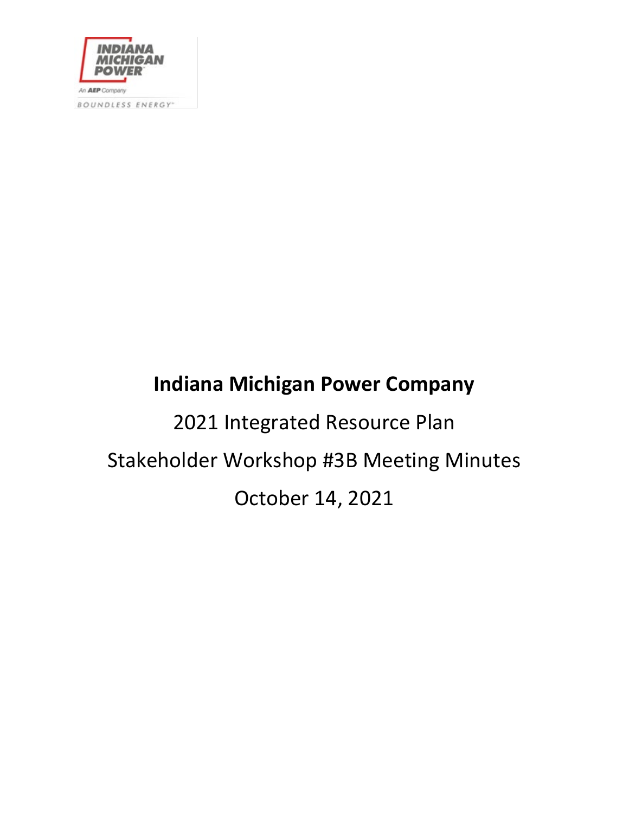

BOUNDLESS ENERGY-

# **Indiana Michigan Power Company**

2021 Integrated Resource Plan Stakeholder Workshop #3B Meeting Minutes October 14, 2021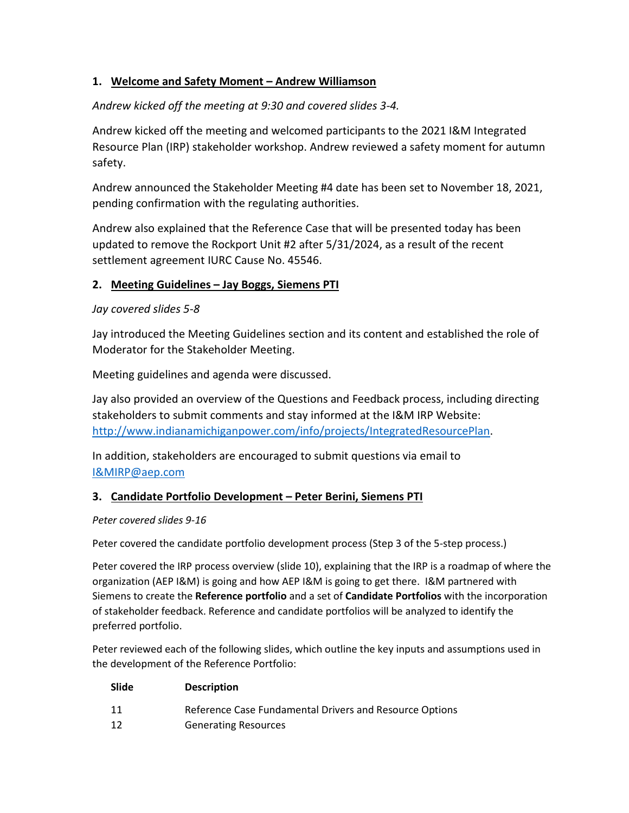# **1. Welcome and Safety Moment – Andrew Williamson**

# *Andrew kicked off the meeting at 9:30 and covered slides 3-4.*

Andrew kicked off the meeting and welcomed participants to the 2021 I&M Integrated Resource Plan (IRP) stakeholder workshop. Andrew reviewed a safety moment for autumn safety.

Andrew announced the Stakeholder Meeting #4 date has been set to November 18, 2021, pending confirmation with the regulating authorities.

Andrew also explained that the Reference Case that will be presented today has been updated to remove the Rockport Unit #2 after 5/31/2024, as a result of the recent settlement agreement IURC Cause No. 45546.

## **2. Meeting Guidelines – Jay Boggs, Siemens PTI**

## *Jay covered slides 5-8*

Jay introduced the Meeting Guidelines section and its content and established the role of Moderator for the Stakeholder Meeting.

Meeting guidelines and agenda were discussed.

Jay also provided an overview of the Questions and Feedback process, including directing stakeholders to submit comments and stay informed at the I&M IRP Website: [http://www.indianamichiganpower.com/info/projects/IntegratedResourcePlan.](http://www.indianamichiganpower.com/info/projects/IntegratedResourcePlan)

In addition, stakeholders are encouraged to submit questions via email to [I&MIRP@aep.com](mailto:I&MIRP@aep.com)

# **3. Candidate Portfolio Development – Peter Berini, Siemens PTI**

## *Peter covered slides 9-16*

Peter covered the candidate portfolio development process (Step 3 of the 5-step process.)

Peter covered the IRP process overview (slide 10), explaining that the IRP is a roadmap of where the organization (AEP I&M) is going and how AEP I&M is going to get there. I&M partnered with Siemens to create the **Reference portfolio** and a set of **Candidate Portfolios** with the incorporation of stakeholder feedback. Reference and candidate portfolios will be analyzed to identify the preferred portfolio.

Peter reviewed each of the following slides, which outline the key inputs and assumptions used in the development of the Reference Portfolio:

| Slide | <b>Description</b>                                      |
|-------|---------------------------------------------------------|
| 11    | Reference Case Fundamental Drivers and Resource Options |
| 12    | <b>Generating Resources</b>                             |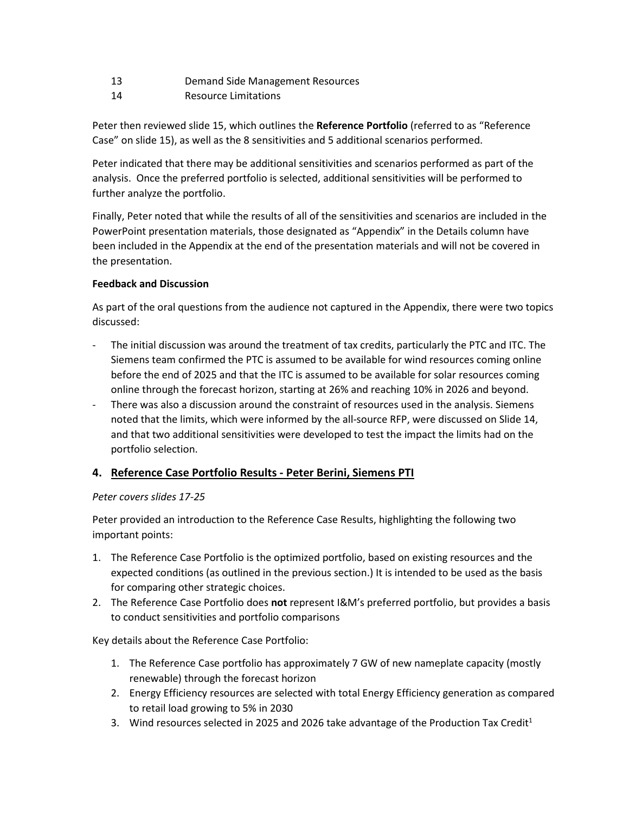- 13 Demand Side Management Resources
- 14 Resource Limitations

Peter then reviewed slide 15, which outlines the **Reference Portfolio** (referred to as "Reference Case" on slide 15), as well as the 8 sensitivities and 5 additional scenarios performed.

Peter indicated that there may be additional sensitivities and scenarios performed as part of the analysis. Once the preferred portfolio is selected, additional sensitivities will be performed to further analyze the portfolio.

Finally, Peter noted that while the results of all of the sensitivities and scenarios are included in the PowerPoint presentation materials, those designated as "Appendix" in the Details column have been included in the Appendix at the end of the presentation materials and will not be covered in the presentation.

#### **Feedback and Discussion**

As part of the oral questions from the audience not captured in the Appendix, there were two topics discussed:

- The initial discussion was around the treatment of tax credits, particularly the PTC and ITC. The Siemens team confirmed the PTC is assumed to be available for wind resources coming online before the end of 2025 and that the ITC is assumed to be available for solar resources coming online through the forecast horizon, starting at 26% and reaching 10% in 2026 and beyond.
- There was also a discussion around the constraint of resources used in the analysis. Siemens noted that the limits, which were informed by the all-source RFP, were discussed on Slide 14, and that two additional sensitivities were developed to test the impact the limits had on the portfolio selection.

#### **4. Reference Case Portfolio Results - Peter Berini, Siemens PTI**

#### *Peter covers slides 17-25*

Peter provided an introduction to the Reference Case Results, highlighting the following two important points:

- 1. The Reference Case Portfolio is the optimized portfolio, based on existing resources and the expected conditions (as outlined in the previous section.) It is intended to be used as the basis for comparing other strategic choices.
- 2. The Reference Case Portfolio does **not** represent I&M's preferred portfolio, but provides a basis to conduct sensitivities and portfolio comparisons

Key details about the Reference Case Portfolio:

- 1. The Reference Case portfolio has approximately 7 GW of new nameplate capacity (mostly renewable) through the forecast horizon
- 2. Energy Efficiency resources are selected with total Energy Efficiency generation as compared to retail load growing to 5% in 2030
- 3. Wind resources selected in 2025 and 2026 take advantage of the Production Tax Credit<sup>1</sup>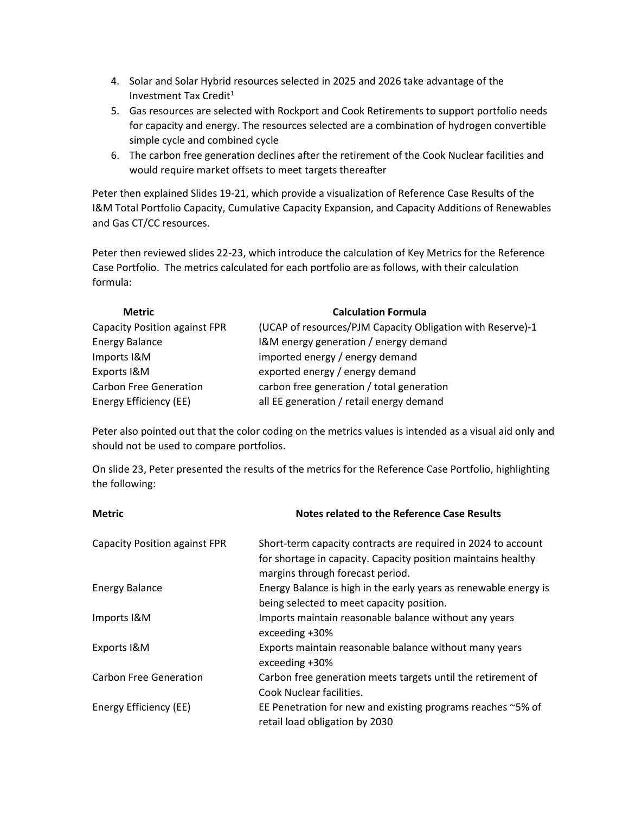- 4. Solar and Solar Hybrid resources selected in 2025 and 2026 take advantage of the Investment Tax Credit $1$
- 5. Gas resources are selected with Rockport and Cook Retirements to support portfolio needs for capacity and energy. The resources selected are a combination of hydrogen convertible simple cycle and combined cycle
- 6. The carbon free generation declines after the retirement of the Cook Nuclear facilities and would require market offsets to meet targets thereafter

Peter then explained Slides 19-21, which provide a visualization of Reference Case Results of the I&M Total Portfolio Capacity, Cumulative Capacity Expansion, and Capacity Additions of Renewables and Gas CT/CC resources.

Peter then reviewed slides 22-23, which introduce the calculation of Key Metrics for the Reference Case Portfolio. The metrics calculated for each portfolio are as follows, with their calculation formula:

| <b>Metric</b>                 | <b>Calculation Formula</b>                                 |
|-------------------------------|------------------------------------------------------------|
| Capacity Position against FPR | (UCAP of resources/PJM Capacity Obligation with Reserve)-1 |
| <b>Energy Balance</b>         | I&M energy generation / energy demand                      |
| Imports I&M                   | imported energy / energy demand                            |
| Exports I&M                   | exported energy / energy demand                            |
| <b>Carbon Free Generation</b> | carbon free generation / total generation                  |
| Energy Efficiency (EE)        | all EE generation / retail energy demand                   |

Peter also pointed out that the color coding on the metrics values is intended as a visual aid only and should not be used to compare portfolios.

On slide 23, Peter presented the results of the metrics for the Reference Case Portfolio, highlighting the following:

| <b>Metric</b>                        | Notes related to the Reference Case Results                                                                                                                        |  |
|--------------------------------------|--------------------------------------------------------------------------------------------------------------------------------------------------------------------|--|
| <b>Capacity Position against FPR</b> | Short-term capacity contracts are required in 2024 to account<br>for shortage in capacity. Capacity position maintains healthy<br>margins through forecast period. |  |
| <b>Energy Balance</b>                | Energy Balance is high in the early years as renewable energy is<br>being selected to meet capacity position.                                                      |  |
| Imports I&M                          | Imports maintain reasonable balance without any years<br>exceeding +30%                                                                                            |  |
| Exports I&M                          | Exports maintain reasonable balance without many years<br>exceeding +30%                                                                                           |  |
| <b>Carbon Free Generation</b>        | Carbon free generation meets targets until the retirement of<br>Cook Nuclear facilities.                                                                           |  |
| Energy Efficiency (EE)               | EE Penetration for new and existing programs reaches $\sim$ 5% of<br>retail load obligation by 2030                                                                |  |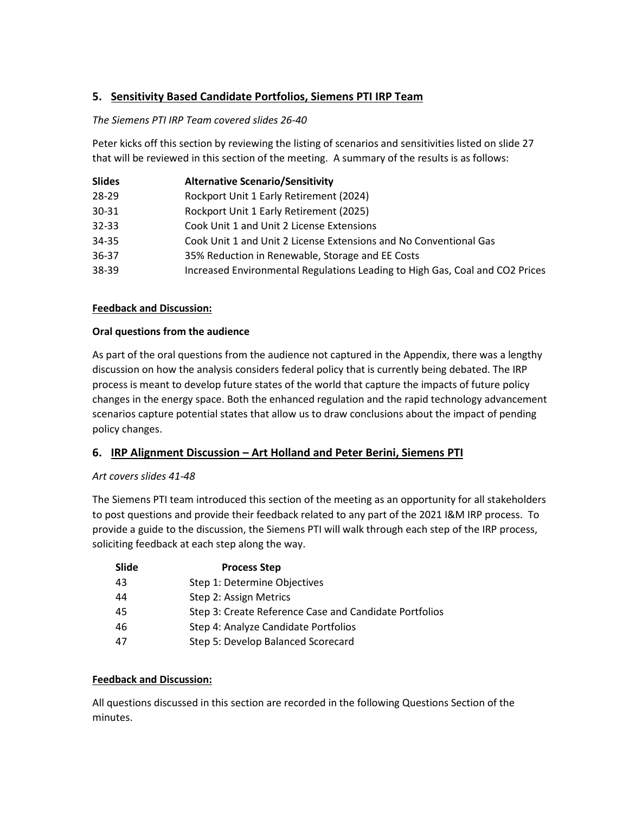# **5. Sensitivity Based Candidate Portfolios, Siemens PTI IRP Team**

#### *The Siemens PTI IRP Team covered slides 26-40*

Peter kicks off this section by reviewing the listing of scenarios and sensitivities listed on slide 27 that will be reviewed in this section of the meeting. A summary of the results is as follows:

| <b>Slides</b> | <b>Alternative Scenario/Sensitivity</b>                                      |
|---------------|------------------------------------------------------------------------------|
| 28-29         | Rockport Unit 1 Early Retirement (2024)                                      |
| 30-31         | Rockport Unit 1 Early Retirement (2025)                                      |
| 32-33         | Cook Unit 1 and Unit 2 License Extensions                                    |
| 34-35         | Cook Unit 1 and Unit 2 License Extensions and No Conventional Gas            |
| 36-37         | 35% Reduction in Renewable, Storage and EE Costs                             |
| 38-39         | Increased Environmental Regulations Leading to High Gas, Coal and CO2 Prices |
|               |                                                                              |

#### **Feedback and Discussion:**

#### **Oral questions from the audience**

As part of the oral questions from the audience not captured in the Appendix, there was a lengthy discussion on how the analysis considers federal policy that is currently being debated. The IRP process is meant to develop future states of the world that capture the impacts of future policy changes in the energy space. Both the enhanced regulation and the rapid technology advancement scenarios capture potential states that allow us to draw conclusions about the impact of pending policy changes.

#### **6. IRP Alignment Discussion – Art Holland and Peter Berini, Siemens PTI**

#### *Art covers slides 41-48*

The Siemens PTI team introduced this section of the meeting as an opportunity for all stakeholders to post questions and provide their feedback related to any part of the 2021 I&M IRP process. To provide a guide to the discussion, the Siemens PTI will walk through each step of the IRP process, soliciting feedback at each step along the way.

| Slide | <b>Process Step</b>                                    |
|-------|--------------------------------------------------------|
| 43    | Step 1: Determine Objectives                           |
| 44    | Step 2: Assign Metrics                                 |
| 45    | Step 3: Create Reference Case and Candidate Portfolios |
| 46    | Step 4: Analyze Candidate Portfolios                   |
| 47    | Step 5: Develop Balanced Scorecard                     |
|       |                                                        |

#### **Feedback and Discussion:**

All questions discussed in this section are recorded in the following Questions Section of the minutes.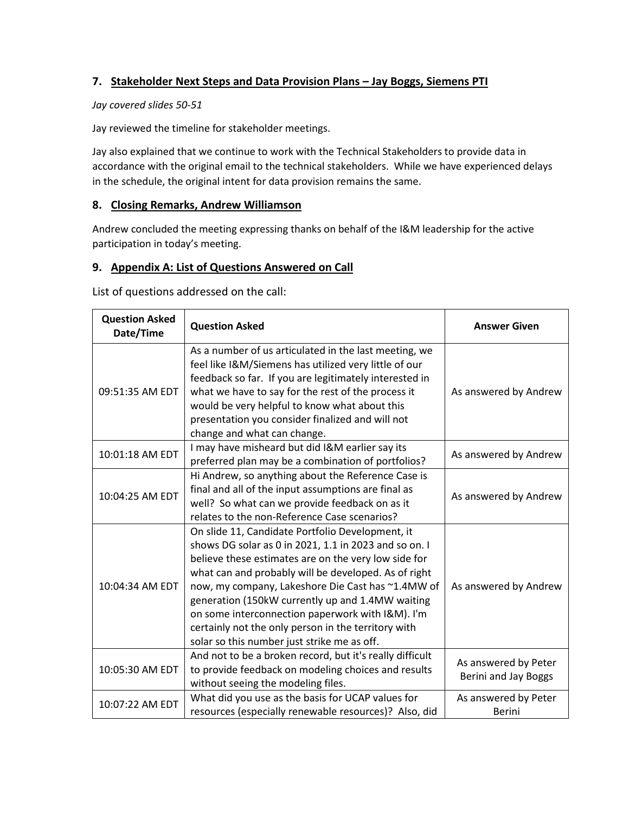# **7. Stakeholder Next Steps and Data Provision Plans – Jay Boggs, Siemens PTI**

#### *Jay covered slides 50-51*

Jay reviewed the timeline for stakeholder meetings.

Jay also explained that we continue to work with the Technical Stakeholders to provide data in accordance with the original email to the technical stakeholders. While we have experienced delays in the schedule, the original intent for data provision remains the same.

#### **8. Closing Remarks, Andrew Williamson**

Andrew concluded the meeting expressing thanks on behalf of the I&M leadership for the active participation in today's meeting.

# **9. Appendix A: List of Questions Answered on Call**

List of questions addressed on the call:

| <b>Question Asked</b><br>Date/Time | <b>Question Asked</b>                                                                                                                                                                                                                                                                                                                                                                                                                                                                        | <b>Answer Given</b>                          |
|------------------------------------|----------------------------------------------------------------------------------------------------------------------------------------------------------------------------------------------------------------------------------------------------------------------------------------------------------------------------------------------------------------------------------------------------------------------------------------------------------------------------------------------|----------------------------------------------|
| 09:51:35 AM EDT                    | As a number of us articulated in the last meeting, we<br>feel like I&M/Siemens has utilized very little of our<br>feedback so far. If you are legitimately interested in<br>what we have to say for the rest of the process it<br>would be very helpful to know what about this<br>presentation you consider finalized and will not<br>change and what can change.                                                                                                                           | As answered by Andrew                        |
| 10:01:18 AM EDT                    | I may have misheard but did I&M earlier say its<br>preferred plan may be a combination of portfolios?                                                                                                                                                                                                                                                                                                                                                                                        | As answered by Andrew                        |
| 10:04:25 AM EDT                    | Hi Andrew, so anything about the Reference Case is<br>final and all of the input assumptions are final as<br>well? So what can we provide feedback on as it<br>relates to the non-Reference Case scenarios?                                                                                                                                                                                                                                                                                  | As answered by Andrew                        |
| 10:04:34 AM EDT                    | On slide 11, Candidate Portfolio Development, it<br>shows DG solar as 0 in 2021, 1.1 in 2023 and so on. I<br>believe these estimates are on the very low side for<br>what can and probably will be developed. As of right<br>now, my company, Lakeshore Die Cast has ~1.4MW of<br>generation (150kW currently up and 1.4MW waiting<br>on some interconnection paperwork with I&M). I'm<br>certainly not the only person in the territory with<br>solar so this number just strike me as off. | As answered by Andrew                        |
| 10:05:30 AM EDT                    | And not to be a broken record, but it's really difficult<br>to provide feedback on modeling choices and results<br>without seeing the modeling files.                                                                                                                                                                                                                                                                                                                                        | As answered by Peter<br>Berini and Jay Boggs |
| 10:07:22 AM EDT                    | What did you use as the basis for UCAP values for<br>resources (especially renewable resources)? Also, did                                                                                                                                                                                                                                                                                                                                                                                   | As answered by Peter<br><b>Berini</b>        |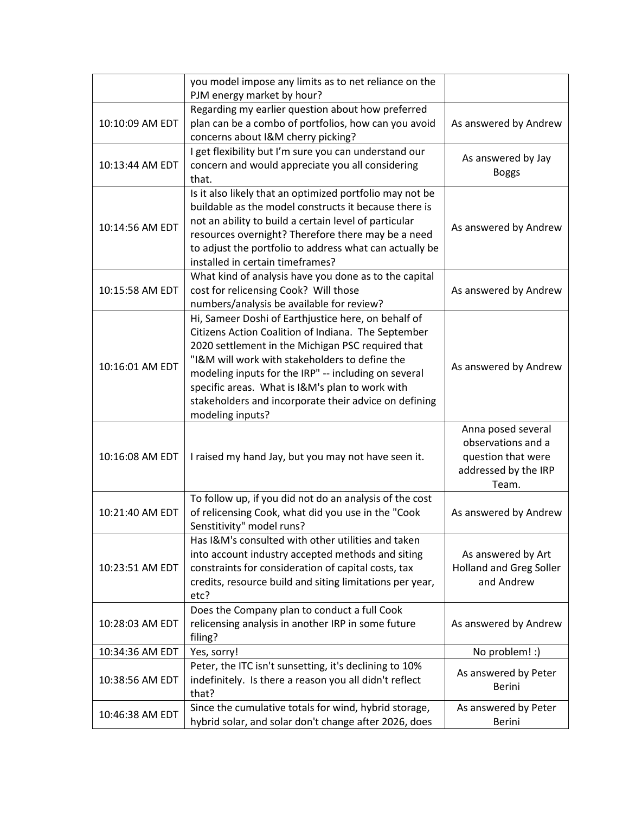|                 | you model impose any limits as to net reliance on the<br>PJM energy market by hour?                                                                                                                                                                                                                                                                                                                       |                                                                                                 |
|-----------------|-----------------------------------------------------------------------------------------------------------------------------------------------------------------------------------------------------------------------------------------------------------------------------------------------------------------------------------------------------------------------------------------------------------|-------------------------------------------------------------------------------------------------|
| 10:10:09 AM EDT | Regarding my earlier question about how preferred<br>plan can be a combo of portfolios, how can you avoid<br>concerns about I&M cherry picking?                                                                                                                                                                                                                                                           | As answered by Andrew                                                                           |
| 10:13:44 AM EDT | I get flexibility but I'm sure you can understand our<br>concern and would appreciate you all considering<br>that.                                                                                                                                                                                                                                                                                        | As answered by Jay<br><b>Boggs</b>                                                              |
| 10:14:56 AM EDT | Is it also likely that an optimized portfolio may not be<br>buildable as the model constructs it because there is<br>not an ability to build a certain level of particular<br>resources overnight? Therefore there may be a need<br>to adjust the portfolio to address what can actually be<br>installed in certain timeframes?                                                                           | As answered by Andrew                                                                           |
| 10:15:58 AM EDT | What kind of analysis have you done as to the capital<br>cost for relicensing Cook? Will those<br>numbers/analysis be available for review?                                                                                                                                                                                                                                                               | As answered by Andrew                                                                           |
| 10:16:01 AM EDT | Hi, Sameer Doshi of Earthjustice here, on behalf of<br>Citizens Action Coalition of Indiana. The September<br>2020 settlement in the Michigan PSC required that<br>"I&M will work with stakeholders to define the<br>modeling inputs for the IRP" -- including on several<br>specific areas. What is I&M's plan to work with<br>stakeholders and incorporate their advice on defining<br>modeling inputs? | As answered by Andrew                                                                           |
| 10:16:08 AM EDT | I raised my hand Jay, but you may not have seen it.                                                                                                                                                                                                                                                                                                                                                       | Anna posed several<br>observations and a<br>question that were<br>addressed by the IRP<br>Team. |
| 10:21:40 AM EDT | To follow up, if you did not do an analysis of the cost<br>of relicensing Cook, what did you use in the "Cook<br>Senstitivity" model runs?                                                                                                                                                                                                                                                                | As answered by Andrew                                                                           |
| 10:23:51 AM EDT | Has I&M's consulted with other utilities and taken<br>into account industry accepted methods and siting<br>constraints for consideration of capital costs, tax<br>credits, resource build and siting limitations per year,<br>etc?                                                                                                                                                                        | As answered by Art<br><b>Holland and Greg Soller</b><br>and Andrew                              |
| 10:28:03 AM EDT | Does the Company plan to conduct a full Cook<br>relicensing analysis in another IRP in some future<br>filing?                                                                                                                                                                                                                                                                                             | As answered by Andrew                                                                           |
| 10:34:36 AM EDT | Yes, sorry!                                                                                                                                                                                                                                                                                                                                                                                               | No problem! :)                                                                                  |
| 10:38:56 AM EDT | Peter, the ITC isn't sunsetting, it's declining to 10%<br>indefinitely. Is there a reason you all didn't reflect<br>that?                                                                                                                                                                                                                                                                                 | As answered by Peter<br><b>Berini</b>                                                           |
| 10:46:38 AM EDT | Since the cumulative totals for wind, hybrid storage,<br>hybrid solar, and solar don't change after 2026, does                                                                                                                                                                                                                                                                                            | As answered by Peter<br>Berini                                                                  |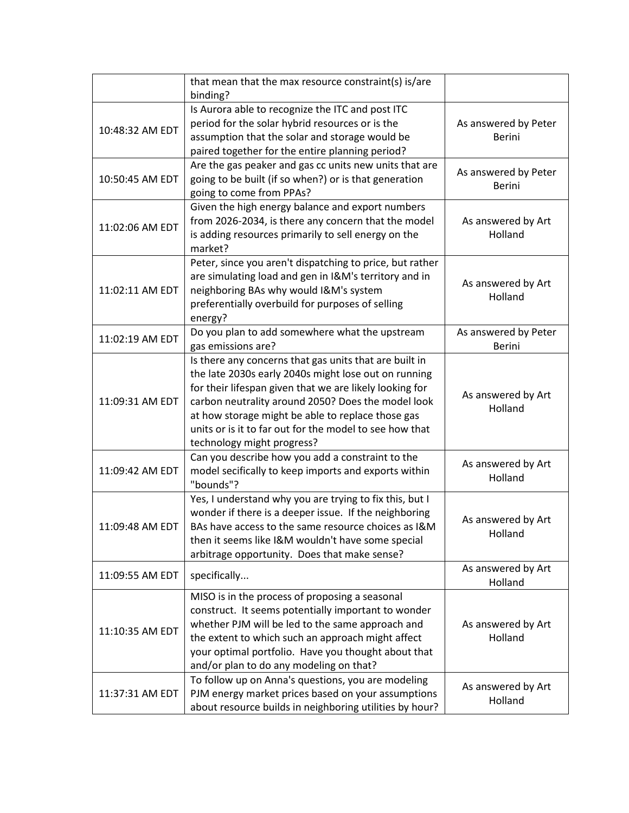|                 | that mean that the max resource constraint(s) is/are<br>binding?                                                                                                                                                                                                                                                                                                              |                                       |
|-----------------|-------------------------------------------------------------------------------------------------------------------------------------------------------------------------------------------------------------------------------------------------------------------------------------------------------------------------------------------------------------------------------|---------------------------------------|
| 10:48:32 AM EDT | Is Aurora able to recognize the ITC and post ITC<br>period for the solar hybrid resources or is the<br>assumption that the solar and storage would be<br>paired together for the entire planning period?                                                                                                                                                                      | As answered by Peter<br><b>Berini</b> |
| 10:50:45 AM EDT | Are the gas peaker and gas cc units new units that are<br>going to be built (if so when?) or is that generation<br>going to come from PPAs?                                                                                                                                                                                                                                   | As answered by Peter<br><b>Berini</b> |
| 11:02:06 AM EDT | Given the high energy balance and export numbers<br>from 2026-2034, is there any concern that the model<br>is adding resources primarily to sell energy on the<br>market?                                                                                                                                                                                                     | As answered by Art<br>Holland         |
| 11:02:11 AM EDT | Peter, since you aren't dispatching to price, but rather<br>are simulating load and gen in I&M's territory and in<br>neighboring BAs why would I&M's system<br>preferentially overbuild for purposes of selling<br>energy?                                                                                                                                                    | As answered by Art<br>Holland         |
| 11:02:19 AM EDT | Do you plan to add somewhere what the upstream<br>gas emissions are?                                                                                                                                                                                                                                                                                                          | As answered by Peter<br><b>Berini</b> |
| 11:09:31 AM EDT | Is there any concerns that gas units that are built in<br>the late 2030s early 2040s might lose out on running<br>for their lifespan given that we are likely looking for<br>carbon neutrality around 2050? Does the model look<br>at how storage might be able to replace those gas<br>units or is it to far out for the model to see how that<br>technology might progress? | As answered by Art<br>Holland         |
| 11:09:42 AM EDT | Can you describe how you add a constraint to the<br>model secifically to keep imports and exports within<br>"bounds"?                                                                                                                                                                                                                                                         | As answered by Art<br>Holland         |
| 11:09:48 AM EDT | Yes, I understand why you are trying to fix this, but I<br>wonder if there is a deeper issue. If the neighboring<br>BAs have access to the same resource choices as I&M<br>then it seems like I&M wouldn't have some special<br>arbitrage opportunity. Does that make sense?                                                                                                  | As answered by Art<br>Holland         |
| 11:09:55 AM EDT | specifically                                                                                                                                                                                                                                                                                                                                                                  | As answered by Art<br>Holland         |
| 11:10:35 AM EDT | MISO is in the process of proposing a seasonal<br>construct. It seems potentially important to wonder<br>whether PJM will be led to the same approach and<br>the extent to which such an approach might affect<br>your optimal portfolio. Have you thought about that<br>and/or plan to do any modeling on that?                                                              | As answered by Art<br>Holland         |
| 11:37:31 AM EDT | To follow up on Anna's questions, you are modeling<br>PJM energy market prices based on your assumptions<br>about resource builds in neighboring utilities by hour?                                                                                                                                                                                                           | As answered by Art<br>Holland         |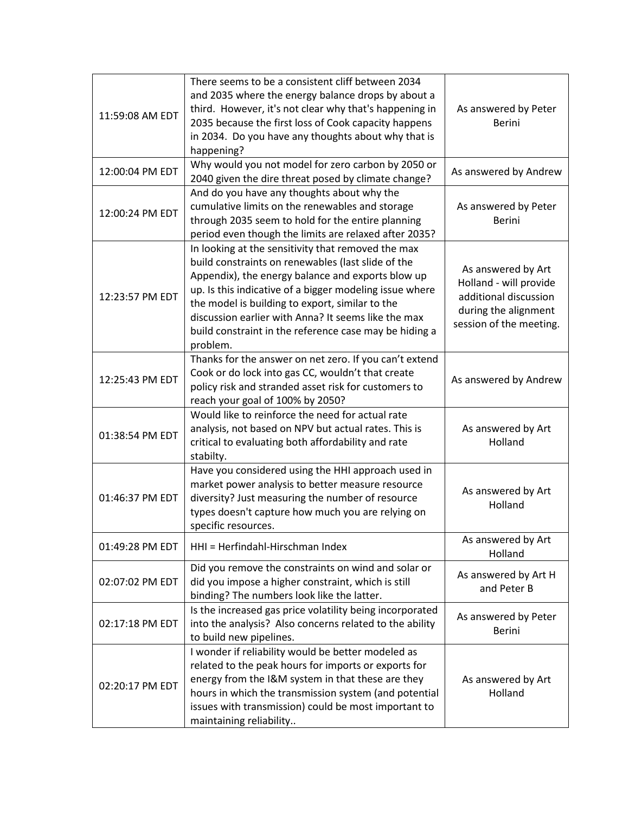| 11:59:08 AM EDT | There seems to be a consistent cliff between 2034<br>and 2035 where the energy balance drops by about a<br>third. However, it's not clear why that's happening in<br>2035 because the first loss of Cook capacity happens<br>in 2034. Do you have any thoughts about why that is<br>happening?                                                                                                           | As answered by Peter<br><b>Berini</b>                                                                                    |
|-----------------|----------------------------------------------------------------------------------------------------------------------------------------------------------------------------------------------------------------------------------------------------------------------------------------------------------------------------------------------------------------------------------------------------------|--------------------------------------------------------------------------------------------------------------------------|
| 12:00:04 PM EDT | Why would you not model for zero carbon by 2050 or<br>2040 given the dire threat posed by climate change?                                                                                                                                                                                                                                                                                                | As answered by Andrew                                                                                                    |
| 12:00:24 PM EDT | And do you have any thoughts about why the<br>cumulative limits on the renewables and storage<br>through 2035 seem to hold for the entire planning<br>period even though the limits are relaxed after 2035?                                                                                                                                                                                              | As answered by Peter<br><b>Berini</b>                                                                                    |
| 12:23:57 PM EDT | In looking at the sensitivity that removed the max<br>build constraints on renewables (last slide of the<br>Appendix), the energy balance and exports blow up<br>up. Is this indicative of a bigger modeling issue where<br>the model is building to export, similar to the<br>discussion earlier with Anna? It seems like the max<br>build constraint in the reference case may be hiding a<br>problem. | As answered by Art<br>Holland - will provide<br>additional discussion<br>during the alignment<br>session of the meeting. |
| 12:25:43 PM EDT | Thanks for the answer on net zero. If you can't extend<br>Cook or do lock into gas CC, wouldn't that create<br>policy risk and stranded asset risk for customers to<br>reach your goal of 100% by 2050?                                                                                                                                                                                                  | As answered by Andrew                                                                                                    |
| 01:38:54 PM EDT | Would like to reinforce the need for actual rate<br>analysis, not based on NPV but actual rates. This is<br>critical to evaluating both affordability and rate<br>stabilty.                                                                                                                                                                                                                              | As answered by Art<br>Holland                                                                                            |
| 01:46:37 PM EDT | Have you considered using the HHI approach used in<br>market power analysis to better measure resource<br>diversity? Just measuring the number of resource<br>types doesn't capture how much you are relying on<br>specific resources.                                                                                                                                                                   | As answered by Art<br>Holland                                                                                            |
| 01:49:28 PM EDT | HHI = Herfindahl-Hirschman Index                                                                                                                                                                                                                                                                                                                                                                         | As answered by Art<br>Holland                                                                                            |
| 02:07:02 PM EDT | Did you remove the constraints on wind and solar or<br>did you impose a higher constraint, which is still<br>binding? The numbers look like the latter.                                                                                                                                                                                                                                                  | As answered by Art H<br>and Peter B                                                                                      |
| 02:17:18 PM EDT | Is the increased gas price volatility being incorporated<br>into the analysis? Also concerns related to the ability<br>to build new pipelines.                                                                                                                                                                                                                                                           | As answered by Peter<br>Berini                                                                                           |
| 02:20:17 PM EDT | I wonder if reliability would be better modeled as<br>related to the peak hours for imports or exports for<br>energy from the I&M system in that these are they<br>hours in which the transmission system (and potential<br>issues with transmission) could be most important to<br>maintaining reliability                                                                                              | As answered by Art<br>Holland                                                                                            |